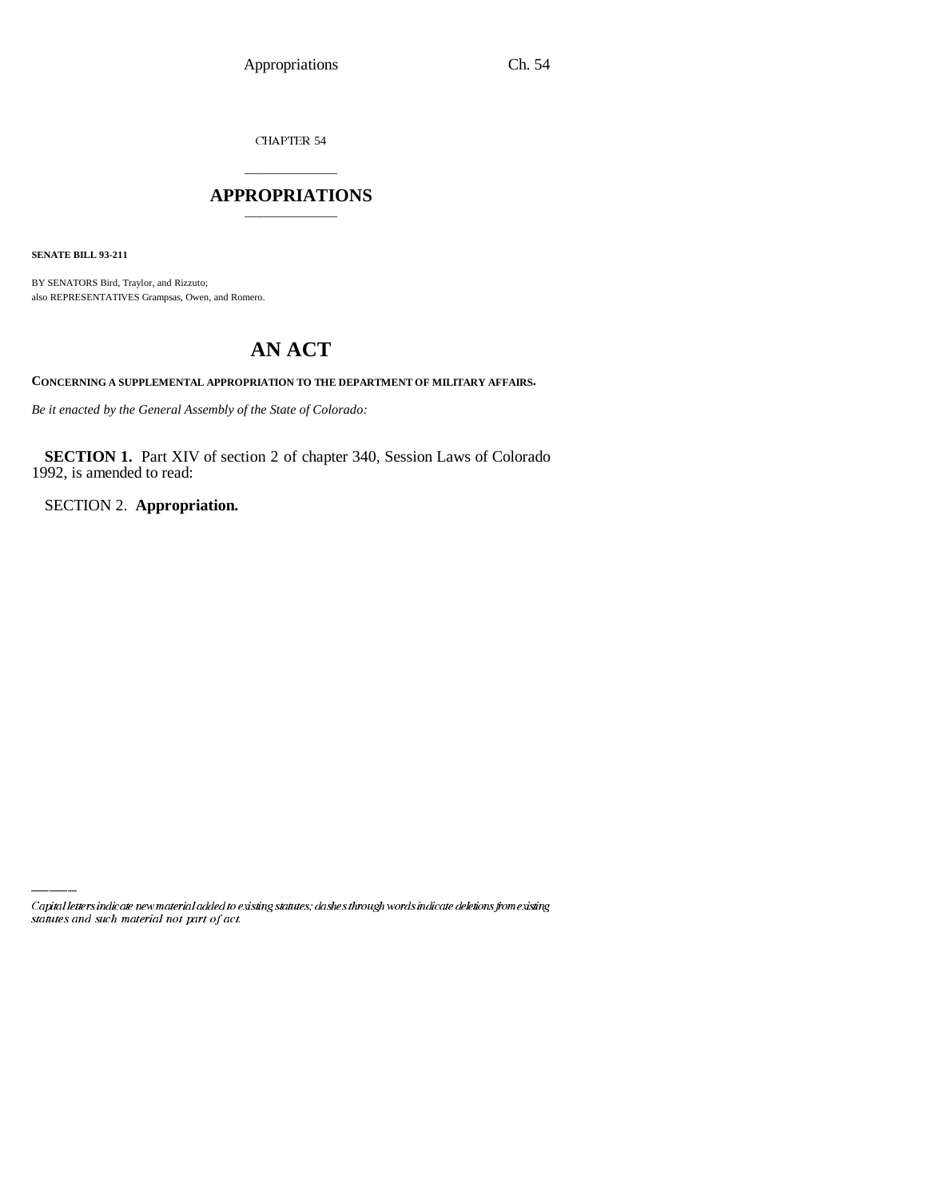CHAPTER 54

## \_\_\_\_\_\_\_\_\_\_\_\_\_\_\_ **APPROPRIATIONS** \_\_\_\_\_\_\_\_\_\_\_\_\_\_\_

**SENATE BILL 93-211**

BY SENATORS Bird, Traylor, and Rizzuto; also REPRESENTATIVES Grampsas, Owen, and Romero.

## **AN ACT**

**CONCERNING A SUPPLEMENTAL APPROPRIATION TO THE DEPARTMENT OF MILITARY AFFAIRS.**

*Be it enacted by the General Assembly of the State of Colorado:*

**SECTION 1.** Part XIV of section 2 of chapter 340, Session Laws of Colorado 1992, is amended to read:

SECTION 2. **Appropriation.**

Capital letters indicate new material added to existing statutes; dashes through words indicate deletions from existing statutes and such material not part of act.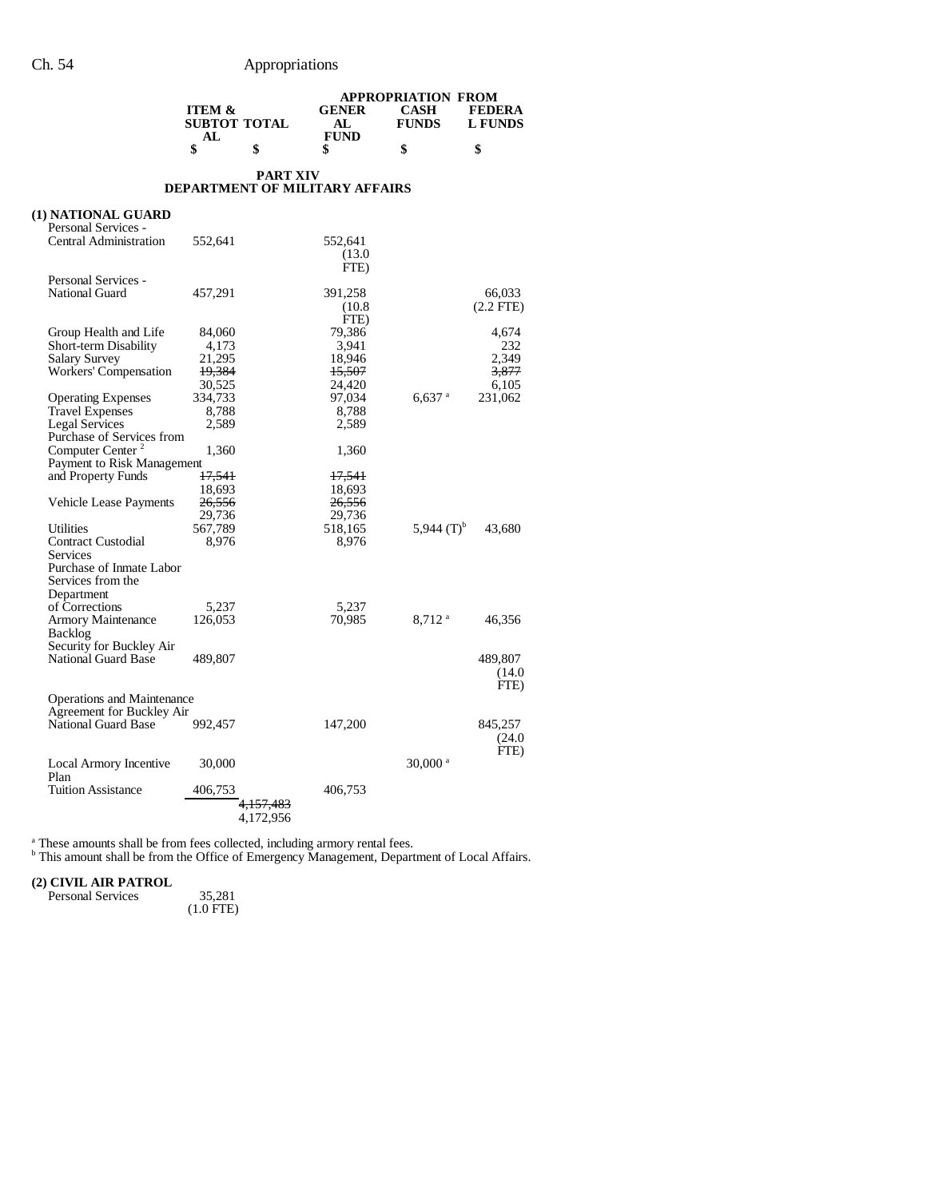|                               |                                          |                 | <b>APPROPRIATION FROM</b>             |                       |                                 |  |
|-------------------------------|------------------------------------------|-----------------|---------------------------------------|-----------------------|---------------------------------|--|
|                               | <b>ITEM &amp;</b><br><b>SUBTOT TOTAL</b> |                 | <b>GENER</b><br>AL                    | CASH<br><b>FUNDS</b>  | <b>FEDERA</b><br><b>L FUNDS</b> |  |
|                               | AL<br>\$                                 | \$              | <b>FUND</b><br>\$                     | \$                    | \$                              |  |
|                               |                                          | <b>PART XIV</b> |                                       |                       |                                 |  |
|                               |                                          |                 | <b>DEPARTMENT OF MILITARY AFFAIRS</b> |                       |                                 |  |
| (1) NATIONAL GUARD            |                                          |                 |                                       |                       |                                 |  |
| Personal Services -           |                                          |                 |                                       |                       |                                 |  |
| <b>Central Administration</b> | 552,641                                  |                 | 552,641                               |                       |                                 |  |
|                               |                                          |                 | (13.0)                                |                       |                                 |  |
|                               |                                          |                 | FTE)                                  |                       |                                 |  |
| Personal Services -           |                                          |                 |                                       |                       |                                 |  |
| National Guard                | 457,291                                  |                 | 391,258                               |                       | 66,033                          |  |
|                               |                                          |                 | (10.8)                                |                       | $(2.2$ FTE)                     |  |
|                               |                                          |                 | FTE)                                  |                       |                                 |  |
|                               |                                          |                 | 79,386                                |                       |                                 |  |
| Group Health and Life         | 84,060                                   |                 |                                       |                       | 4,674                           |  |
| Short-term Disability         | 4,173                                    |                 | 3,941                                 |                       | 232                             |  |
| Salary Survey                 | 21,295                                   |                 | 18,946                                |                       | 2,349                           |  |
| Workers' Compensation         | 19,384                                   |                 | <del>15,507</del>                     |                       | 3,877                           |  |
|                               | 30,525                                   |                 | 24,420                                |                       | 6,105                           |  |
| <b>Operating Expenses</b>     | 334,733                                  |                 | 97,034                                | $6,637$ <sup>a</sup>  | 231,062                         |  |
| Travel Expenses               | 8,788                                    |                 | 8,788                                 |                       |                                 |  |
| <b>Legal Services</b>         | 2,589                                    |                 | 2,589                                 |                       |                                 |  |
| Purchase of Services from     |                                          |                 |                                       |                       |                                 |  |
| Computer Center <sup>2</sup>  | 1,360                                    |                 | 1,360                                 |                       |                                 |  |
| Payment to Risk Management    |                                          |                 |                                       |                       |                                 |  |
| and Property Funds            | 17,541                                   |                 | 17,541                                |                       |                                 |  |
|                               | 18,693                                   |                 | 18,693                                |                       |                                 |  |
| <b>Vehicle Lease Payments</b> | 26,556                                   |                 | 26,556                                |                       |                                 |  |
|                               | 29,736                                   |                 | 29,736                                |                       |                                 |  |
| <b>Utilities</b>              | 567,789                                  |                 | 518,165                               | 5,944 $(T)^b$         | 43,680                          |  |
| <b>Contract Custodial</b>     | 8,976                                    |                 | 8,976                                 |                       |                                 |  |
| Services                      |                                          |                 |                                       |                       |                                 |  |
| Purchase of Inmate Labor      |                                          |                 |                                       |                       |                                 |  |
| Services from the             |                                          |                 |                                       |                       |                                 |  |
| Department                    |                                          |                 |                                       |                       |                                 |  |
| of Corrections                | 5,237                                    |                 | 5,237                                 |                       |                                 |  |
| Armory Maintenance            | 126,053                                  |                 | 70,985                                | $8,712$ <sup>a</sup>  | 46,356                          |  |
| <b>Backlog</b>                |                                          |                 |                                       |                       |                                 |  |
| Security for Buckley Air      |                                          |                 |                                       |                       |                                 |  |
| <b>National Guard Base</b>    | 489,807                                  |                 |                                       |                       | 489,807                         |  |
|                               |                                          |                 |                                       |                       | (14.0)                          |  |
|                               |                                          |                 |                                       |                       | FTE)                            |  |
| Operations and Maintenance    |                                          |                 |                                       |                       |                                 |  |
| Agreement for Buckley Air     |                                          |                 |                                       |                       |                                 |  |
| National Guard Base           | 992,457                                  |                 | 147,200                               |                       | 845,257                         |  |
|                               |                                          |                 |                                       |                       | (24.0)                          |  |
|                               |                                          |                 |                                       |                       | FTE)                            |  |
| Local Armory Incentive        | 30,000                                   |                 |                                       | $30,000$ <sup>a</sup> |                                 |  |
| Plan                          |                                          |                 |                                       |                       |                                 |  |
| <b>Tuition Assistance</b>     | 406,753                                  |                 | 406,753                               |                       |                                 |  |
|                               |                                          | 4,157,483       |                                       |                       |                                 |  |
|                               |                                          | 4,172,956       |                                       |                       |                                 |  |
|                               |                                          |                 |                                       |                       |                                 |  |

<sup>a</sup> These amounts shall be from fees collected, including armory rental fees.<br><sup>b</sup> This amount shall be from the Office of Emergency Management, Department of Local Affairs.

## **(2) CIVIL AIR PATROL** Personal Services

 $35,281$ <br>(1.0 FTE)